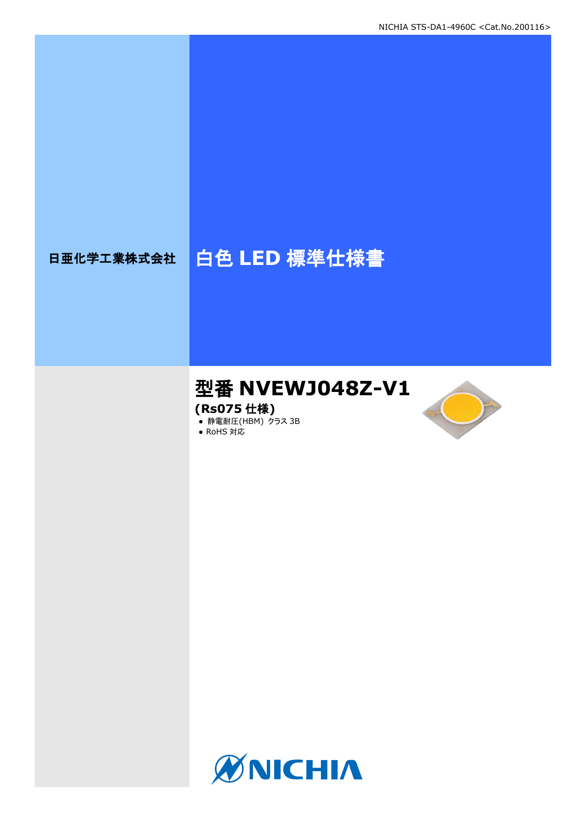# 日亜化学工業株式会社 | 白色 LED 標準仕様書

## 型番 **NVEWJ048Z-V1**

**(Rs075** 仕様**)**

**● 静電耐圧(HBM) クラス 3B** 





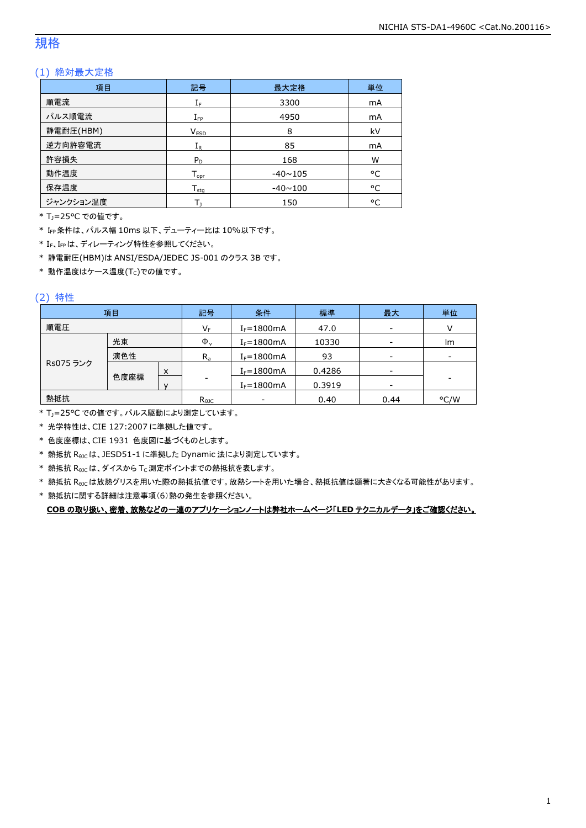### 規格

### (1) 絶対最大定格

| 項目        | 記号               | 最大定格           |    |
|-----------|------------------|----------------|----|
| 順電流       | $I_F$<br>3300    |                | mA |
| パルス順電流    | $I_{\text{FP}}$  | 4950           |    |
| 静電耐圧(HBM) | 8<br><b>VESD</b> |                | kV |
| 逆方向許容電流   | $I_{R}$          | 85             | mA |
| 許容損失      | $P_D$            | 168            | W  |
| 動作温度      | $T_{\text{opr}}$ | $-40 \sim 105$ | °C |
| 保存温度      | $T_{\rm stq}$    | $-40 \sim 100$ |    |
| ジャンクション温度 |                  | 150            | °C |

\* TJ=25°C での値です。

\* IFP条件は、パルス幅 10ms 以下、デューティー比は 10%以下です。

\* IF、IFPは、ディレーティング特性を参照してください。

\* 静電耐圧(HBM)は ANSI/ESDA/JEDEC JS-001 のクラス 3B です。

 $*$ 動作温度はケース温度(Tc)での値です。

### (2) 特性

|           | 項目   |   | 記号             | 条件                       | 標準     | 最大                       | 単位                       |
|-----------|------|---|----------------|--------------------------|--------|--------------------------|--------------------------|
| 順電圧       |      |   | $V_F$          | $I_F = 1800mA$           | 47.0   | $\overline{\phantom{a}}$ |                          |
|           | 光束   |   | $\Phi_{\rm v}$ | $I_F = 1800mA$           | 10330  | $\overline{\phantom{a}}$ | Im                       |
| 演色性       |      |   | $R_{a}$        | $I_F = 1800mA$           | 93     | $\overline{\phantom{a}}$ | $\overline{\phantom{a}}$ |
| Rs075 ランク |      | X |                | $I_F = 1800mA$           | 0.4286 | $\overline{\phantom{a}}$ |                          |
|           | 色度座標 |   | -              | $I_F = 1800mA$           | 0.3919 | $\overline{\phantom{a}}$ | -                        |
| 熱抵抗       |      |   | $R_{\theta$ JC | $\overline{\phantom{a}}$ | 0.40   | 0.44                     | °C/W                     |

\* TJ=25°C での値です。パルス駆動により測定しています。

\* 光学特性は、CIE 127:2007 に準拠した値です。

\* 色度座標は、CIE 1931 色度図に基づくものとします。

\* 熱抵抗 RθJCは、JESD51-1 に準拠した Dynamic 法により測定しています。

 $*$  熱抵抗  $R_{\rm \theta JC}$ は、ダイスから Tc 測定ポイントまでの熱抵抗を表します。

\* 熱抵抗 R<sub>9JC</sub>は放熱グリスを用いた際の熱抵抗値です。放熱シートを用いた場合、熱抵抗値は顕著に大きくなる可能性があります。

\* 熱抵抗に関する詳細は注意事項(6)熱の発生を参照ください。

**COB** の取り扱い、密着、放熱などの一連のアプリケーションノートは弊社ホームページ「**LED** テクニカルデータ」をご確認ください。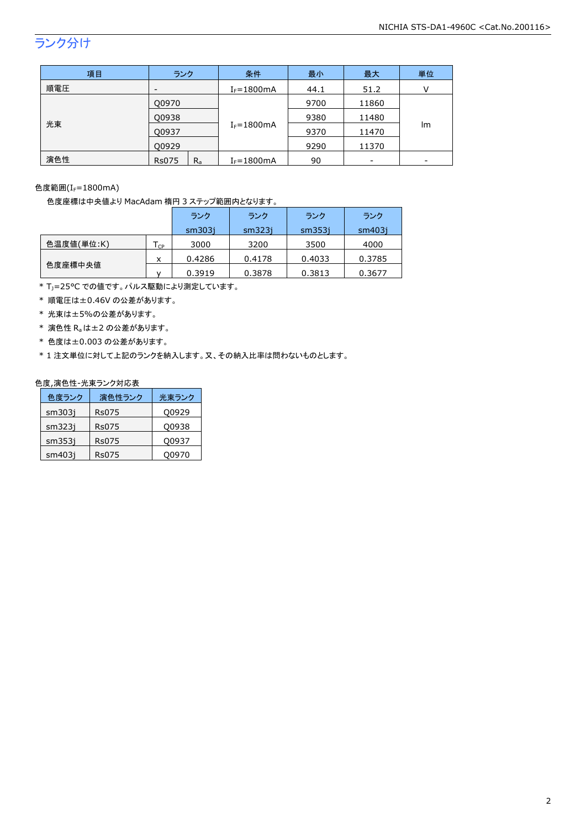## ランク分け

| 項目  | ランク                     | 条件             | 最小   | 最大    | 単位                       |
|-----|-------------------------|----------------|------|-------|--------------------------|
| 順電圧 | -                       | $I_F = 1800mA$ | 44.1 | 51.2  | V                        |
| 光束  | Q0970                   |                | 9700 | 11860 |                          |
|     | Q0938                   |                | 9380 | 11480 |                          |
|     | Q0937                   | $I_F = 1800mA$ | 9370 | 11470 | lm                       |
|     | 00929                   |                | 9290 | 11370 |                          |
| 演色性 | $R_{a}$<br><b>Rs075</b> | $I_F = 1800mA$ | 90   | -     | $\overline{\phantom{0}}$ |

### 色度範囲 $(I_f=1800$ mA)

色度座標は中央値より MacAdam 楕円 3 ステップ範囲内となります。

|            |    | ランク    | ランク    | ランク    | ランク    |
|------------|----|--------|--------|--------|--------|
|            |    | sm3031 | sm323i | sm353i | sm403i |
| 色温度値(単位:K) | CP | 3000   | 3200   | 3500   | 4000   |
|            | x  | 0.4286 | 0.4178 | 0.4033 | 0.3785 |
| 色度座標中央値    |    | 0.3919 | 0.3878 | 0.3813 | 0.3677 |

\* TJ=25°C での値です。パルス駆動により測定しています。

\* 順電圧は±0.46V の公差があります。

\* 光束は±5%の公差があります。

\* 演色性 Raは±2 の公差があります。

\* 色度は±0.003 の公差があります。

\* 1 注文単位に対して上記のランクを納入します。又、その納入比率は問わないものとします。

#### 色度,演色性-光束ランク対応表

| 色度ランク  | 演色性ランク       | 光束ランク |
|--------|--------------|-------|
| sm303j | <b>Rs075</b> | Q0929 |
| sm323i | Rs075        | Q0938 |
| sm353i | Rs075        | Q0937 |
| sm403i | Rs075        | 00970 |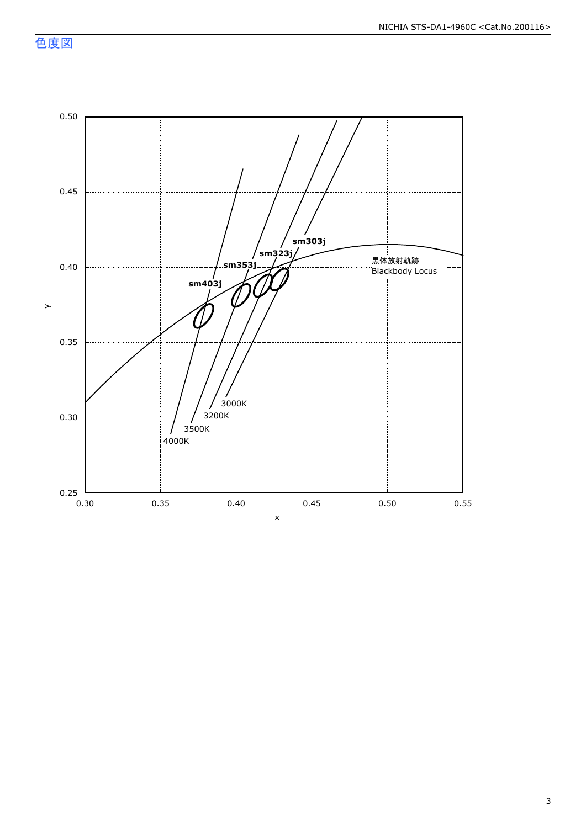色度図

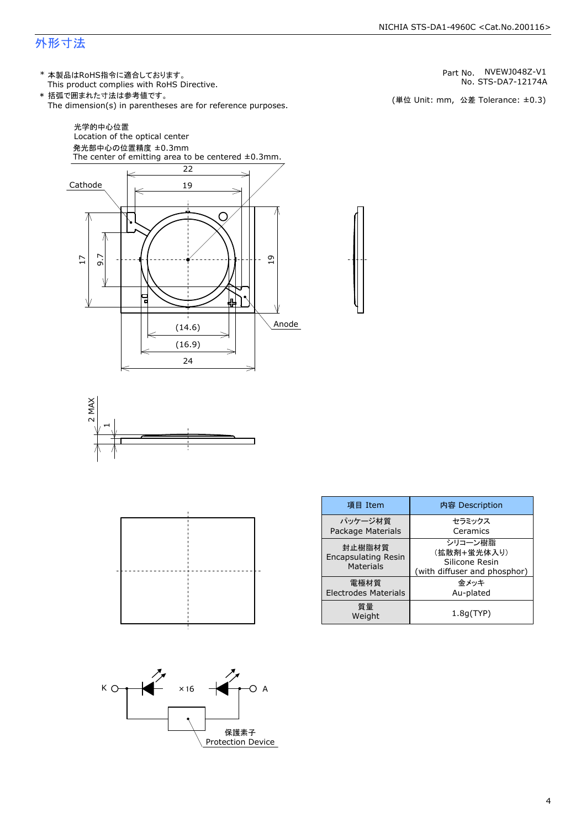### 外形寸法

(単位 Unit: mm) This product complies with RoHS Directive. \* 本製品はRoHS指令に適合しております。 (単位 Unit: mm, 公差 Tolerance: ±0.3) STS-DA7-12174A NVEWJ048Z-V1 The dimension(s) in parentheses are for reference purposes. \* 括弧で囲まれた寸法は参考値です。 No. Part No.







| 項目 Item                                                  | 内容 Description                                                           |  |
|----------------------------------------------------------|--------------------------------------------------------------------------|--|
| パッケージ材質<br>Package Materials                             | セラミックス<br>Ceramics                                                       |  |
| 封止樹脂材質<br><b>Encapsulating Resin</b><br><b>Materials</b> | シリコーン樹脂<br>(拡散剤+蛍光体入り)<br>Silicone Resin<br>(with diffuser and phosphor) |  |
| 電極材質<br><b>Electrodes Materials</b>                      | 金メッキ<br>Au-plated                                                        |  |
| 質量<br>Weight                                             | 1.8q(TYP)                                                                |  |

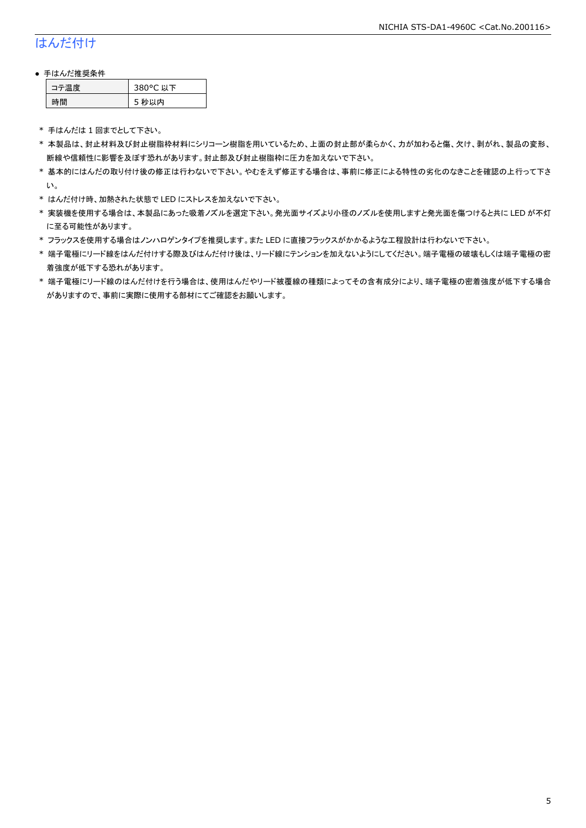### はんだ付け

### ● 手はんだ推奨条件

| →"烏庫」 | 380°C 以下 |
|-------|----------|
| .間    | 5 秒以内    |

\* 手はんだは 1 回までとして下さい。

- \* 本製品は、封止材料及び封止樹脂枠材料にシリコーン樹脂を用いているため、上面の封止部が柔らかく、力が加わると傷、欠け、剥がれ、製品の変形、 断線や信頼性に影響を及ぼす恐れがあります。封止部及び封止樹脂枠に圧力を加えないで下さい。
- \* 基本的にはんだの取り付け後の修正は行わないで下さい。やむをえず修正する場合は、事前に修正による特性の劣化のなきことを確認の上行って下さ い。
- \* はんだ付け時、加熱された状態で LED にストレスを加えないで下さい。
- \* 実装機を使用する場合は、本製品にあった吸着ノズルを選定下さい。発光面サイズより小径のノズルを使用しますと発光面を傷つけると共に LED が不灯 に至る可能性があります。
- \* フラックスを使用する場合はノンハロゲンタイプを推奨します。また LED に直接フラックスがかかるような工程設計は行わないで下さい。
- \* 端子電極にリード線をはんだ付けする際及びはんだ付け後は、リード線にテンションを加えないようにしてください。端子電極の破壊もしくは端子電極の密 着強度が低下する恐れがあります。
- \* 端子電極にリード線のはんだ付けを行う場合は、使用はんだやリード被覆線の種類によってその含有成分により、端子電極の密着強度が低下する場合 がありますので、事前に実際に使用する部材にてご確認をお願いします。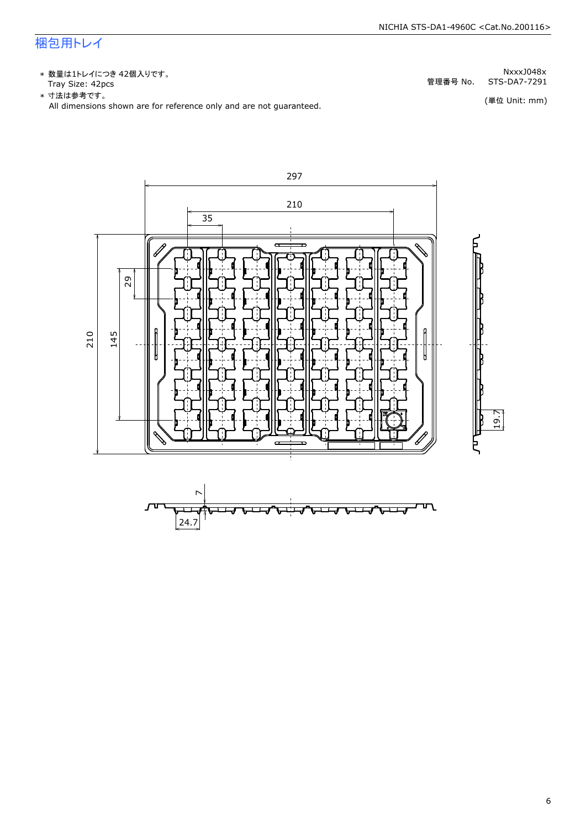### 梱包用トレイ

\* 数量は1トレイにつき 42個入りです。<br>Tray Size: 42pcs

\* 数量は1トレイにつき 42個入りです。<br>Tray Size: 42pcs<br>\* 寸法は参考です。<br>All dimensions shown are for reference only and are not guaranteed. \* づ法は参考です。

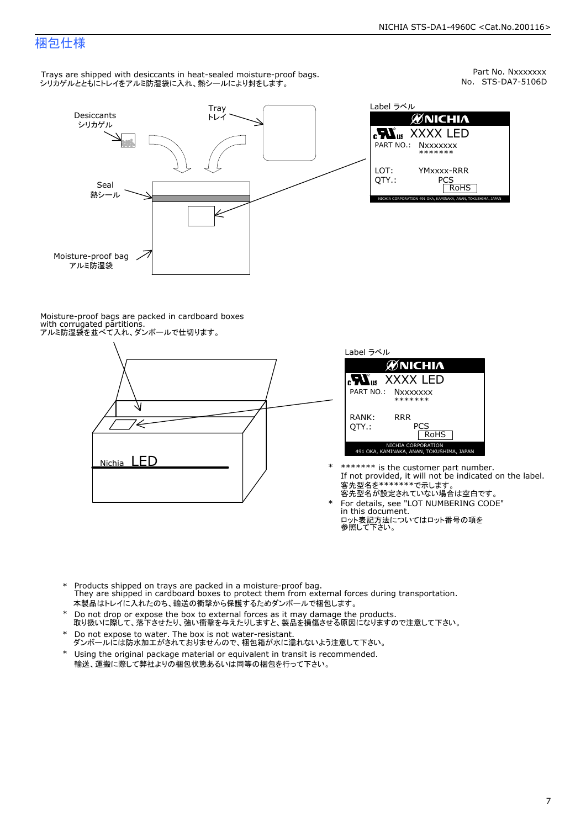Part No. Nxxxxxxx<br>No. STS-DA7-5106D

### 梱包仕様

Trays are shipped with desiccants in heat-sealed moisture-proof bags. シリカゲルとともにトレイをアルミ防湿袋に入れ、熱シールにより封をします。



Label ラベル  $\mathscr{U}$ NICHIA  $\begin{array}{lll} \text{cN}_{\text{us}} & \text{XXXX} & \text{LED} \\ \text{part no.:} & \text{Nxxxxxxx} \\ \text{LOT:} & \text{YMxxxx-RRR} \\ \text{QTY.:} & & \text{PCS} \\ \hline & \text{ROHS} \end{array}$ NICHIA CORPORATION <sup>491</sup> OKA, KAMINAKA, ANAN, TOKUSHIMA, JAPAN LOT: QTY.: YMxxxx-RRR PCS PART NO.:

Moisture-proof bags are packed in cardboard boxes with corrugated partitions. アルミ防湿袋を並べて入れ、ダンボールで仕切ります。





- \* \*\*\*\*\*\*\* is the customer part number.<br>If not provided, it will not be indicated on the label.<br>客先型名が設定されていない場合は空白です。
- For details, see "LOT NUMBERING CODE"<br>in this document.<br>ロット表記方法についてはロット番号の項を<br>参照して下さい。
- \* Products shipped on trays are packed in a moisture-proof bag.<br>They are shipped in cardboard boxes to protect them from external forces during transportation.<br>本製品はトレイに入れたのち、輸送の衝撃から保護するためダンボールで梱包します。<br>\* Do not drop or exp 本製品はトレイに入れたのち、輸送の衝撃から保護するためダンボールで梱包します。
- Do not drop or expose the box to external forces as it may damage the products. \*
- 取り扱いに際して、落下させたり、強い衝撃を与えたりしますと、製品を損傷させる原因になりますので注意して下さい。 Do not expose to water. The box is not water-resistant. \*
- ダンボールには防水加工がされておりませんので、梱包箱が水に濡れないよう注意して下さい。 \*
- 輸送、運搬に際して弊社よりの梱包状態あるいは同等の梱包を行って下さい。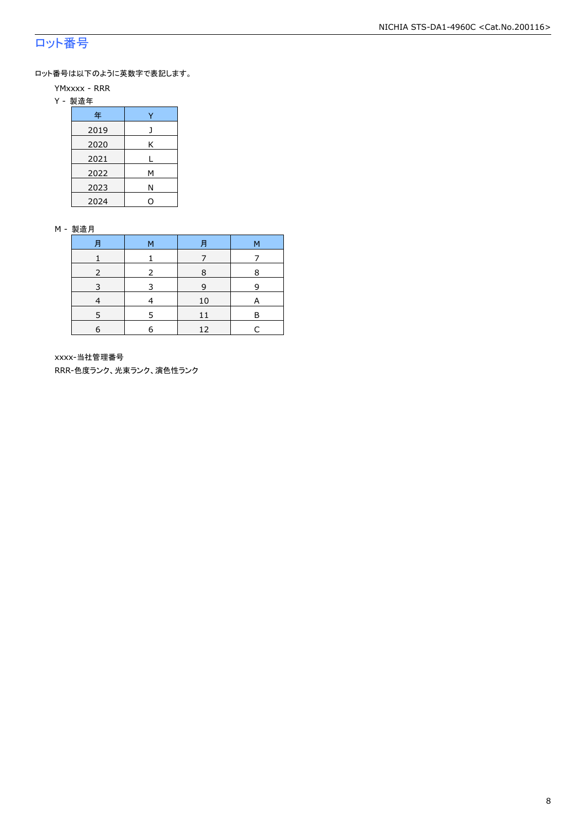### ロット番号

ロット番号は以下のように英数字で表記します。

- YMxxxx RRR
- Y 製造年

| 年    |   |  |  |  |
|------|---|--|--|--|
| 2019 |   |  |  |  |
| 2020 | Κ |  |  |  |
| 2021 |   |  |  |  |
| 2022 | м |  |  |  |
| 2023 | Ν |  |  |  |
| 2024 |   |  |  |  |

#### M - 製造月

| 月 | м | 月  | М |
|---|---|----|---|
|   |   |    |   |
|   |   | 8  | 8 |
|   |   | 9  | q |
|   |   | 10 | A |
|   |   |    | F |
| 6 | F | 12 |   |

xxxx-当社管理番号

RRR-色度ランク、光束ランク、演色性ランク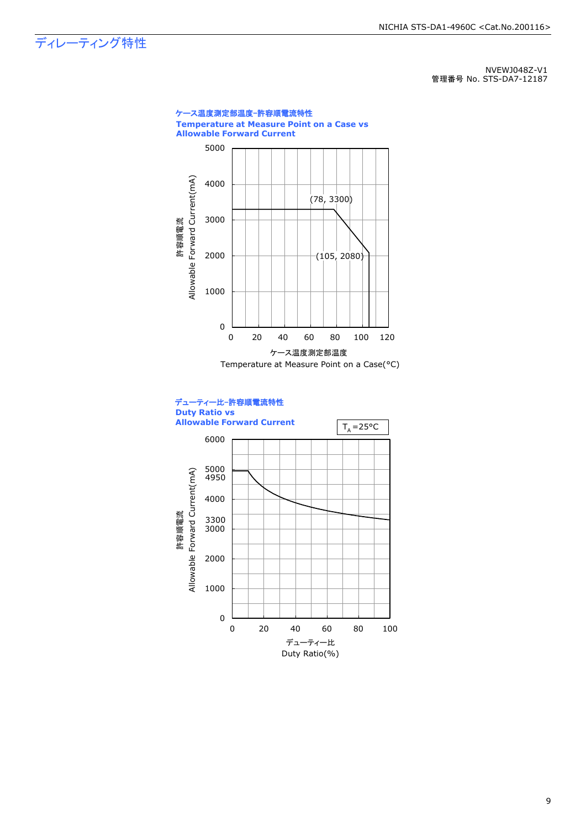### ディレーティング特性

NVEWJ048Z-V1 管理番号 No. STS-DA7-12187



9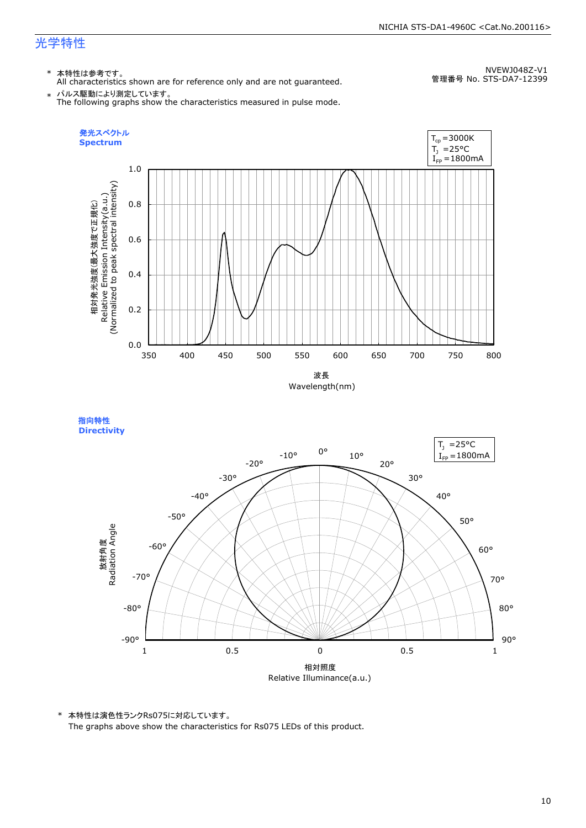### 光学特性

### \* 本特性は参考です。

All characteristics shown are for reference only and are not guaranteed.

NVEWJ048Z-V1 管理番号 No. STS-DA7-12399

 $\;* \;$  パルス駆動により測定しています。<br>The following graphs show the characteristics measured in pulse mode.



指向特性 **Directivity** 



\* 本特性は演色性ランクRs075に対応しています。 The graphs above show the characteristics for Rs075 LEDs of this product.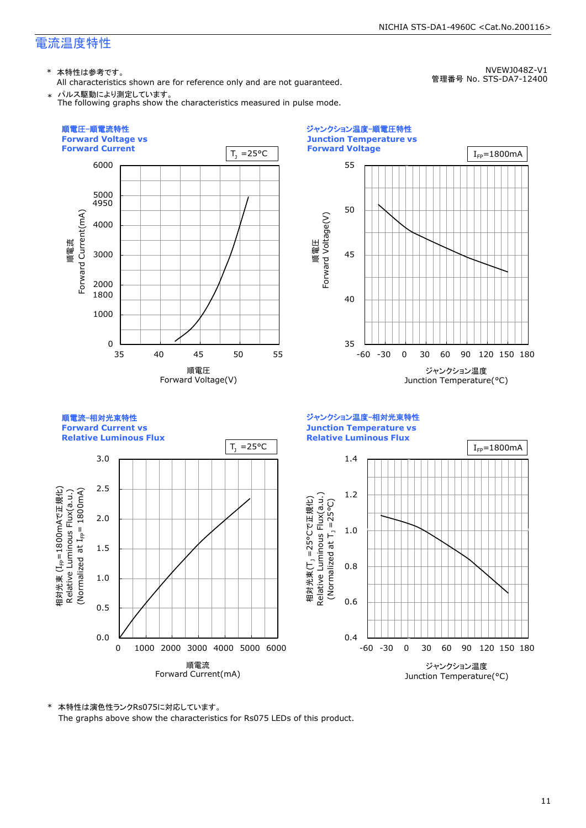### 電流温度特性

\* 本特性は参考です。

All characteristics shown are for reference only and are not guaranteed. \* パルス駆動により測定しています。

NVEWJ048Z-V1 管理番号 No. STS-DA7-12400

NICHIA STS-DA1-4960C <Cat.No.200116>

The following graphs show the characteristics measured in pulse mode.







\* 本特性は演色性ランクRs075に対応しています。 The graphs above show the characteristics for Rs075 LEDs of this product.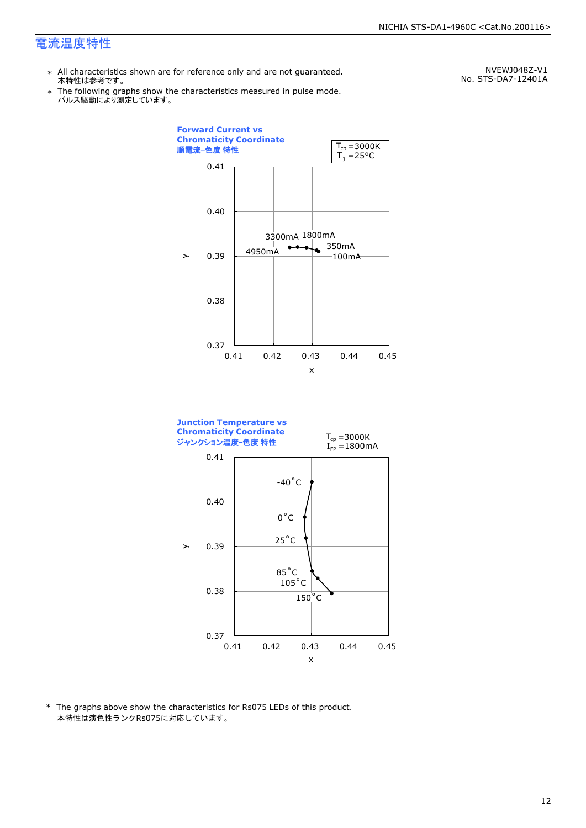### 電流温度特性

- \* All characteristics shown are for reference only and are not guaranteed. 本特性は参考です。
- \* Ine following graphs show th<br>、パルス駆動により測定しています。 The following graphs show the characteristics measured in pulse mode.

NVEWJ048Z-V1 No. STS-DA7-12401A





\* The graphs above show the characteristics for Rs075 LEDs of this product. 本特性は演色性ランクRs075に対応しています。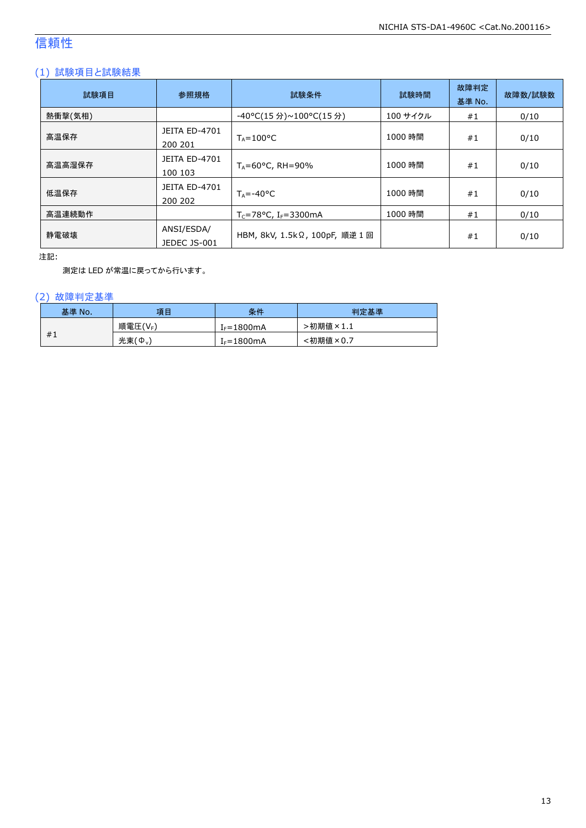### 信頼性

### (1) 試験項目と試験結果

| 試験項目    | 参照規格                            | 試験条件                                  | 試験時間     | 故障判定<br>基準 No. | 故障数/試験数 |
|---------|---------------------------------|---------------------------------------|----------|----------------|---------|
| 熱衝撃(気相) |                                 | -40°C(15 分)~100°C(15 分)               | 100 サイクル | #1             | 0/10    |
| 高温保存    | <b>JEITA ED-4701</b><br>200 201 | $T_A = 100^{\circ}C$                  | 1000 時間  | #1             | 0/10    |
| 高温高湿保存  | <b>JEITA ED-4701</b><br>100 103 | $T_A = 60^{\circ}$ C, RH = 90%        | 1000 時間  | #1             | 0/10    |
| 低温保存    | JEITA ED-4701<br>200 202        | $T_{\text{A}} = -40^{\circ}C$         | 1000 時間  | #1             | 0/10    |
| 高温連続動作  |                                 | $T_c = 78$ °C, I <sub>F</sub> =3300mA | 1000 時間  | #1             | 0/10    |
| 静電破壊    | ANSI/ESDA/<br>JEDEC JS-001      | HBM, 8kV, 1.5kΩ, 100pF, 順逆 1回         |          | #1             | 0/10    |

注記:

測定は LED が常温に戻ってから行います。

### (2) 故障判定基準

| 基準 No. | 項目              | 条件                     | 判定基準     |
|--------|-----------------|------------------------|----------|
|        | 順電圧(VF)         | I <sub>F</sub> =1800mA | ·初期値×1.1 |
| #1     | 光束 $(\Phi_{v})$ | $I_F = 1800mA$         | :初期値×0.7 |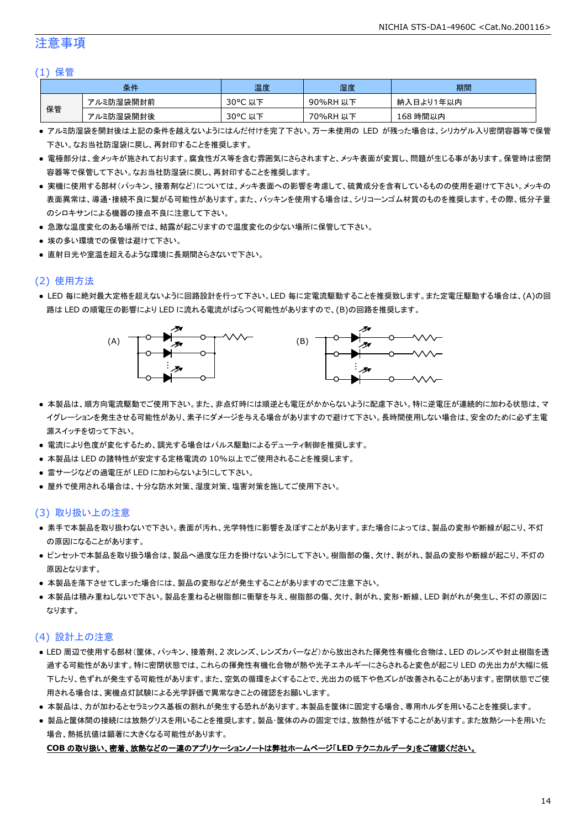### 注意事項

#### (1) 保管

|    | 条件        | 温度         | 湿度       | 期間        |
|----|-----------|------------|----------|-----------|
|    | アルミ防湿袋開封前 | 30°C<br>以下 | 90%RH 以下 | 納入日より1年以内 |
| 保管 | アルミ防湿袋開封後 | 30°C 以下    | 70%RH 以下 | 168 時間以内  |

- アルミ防湿袋を開封後は上記の条件を越えないようにはんだ付けを完了下さい。万一未使用の LED が残った場合は、シリカゲル入り密閉容器等で保管 下さい。なお当社防湿袋に戻し、再封印することを推奨します。
- 電極部分は、金メッキが施されております。腐食性ガス等を含む雰囲気にさらされますと、メッキ表面が変質し、問題が生じる事があります。保管時は密閉 容器等で保管して下さい。なお当社防湿袋に戻し、再封印することを推奨します。
- 実機に使用する部材(パッキン、接着剤など)については、メッキ表面への影響を考慮して、硫黄成分を含有しているものの使用を避けて下さい。メッキの 表面異常は、導通・接続不良に繋がる可能性があります。また、パッキンを使用する場合は、シリコーンゴム材質のものを推奨します。その際、低分子量 のシロキサンによる機器の接点不良に注意して下さい。
- 急激な温度変化のある場所では、結露が起こりますので温度変化の少ない場所に保管して下さい。
- 埃の多い環境での保管は避けて下さい。
- 直射日光や室温を超えるような環境に長期間さらさないで下さい。

### (2) 使用方法

● LED 毎に絶対最大定格を超えないように回路設計を行って下さい。LED 毎に定電流駆動することを推奨致します。また定電圧駆動する場合は、(A)の回 路は LED の順電圧の影響により LED に流れる電流がばらつく可能性がありますので、(B)の回路を推奨します。



- 本製品は、順方向電流駆動でご使用下さい。また、非点灯時には順逆とも電圧がかからないように配慮下さい。特に逆電圧が連続的に加わる状態は、マ イグレーションを発生させる可能性があり、素子にダメージを与える場合がありますので避けて下さい。長時間使用しない場合は、安全のために必ず主電 源スイッチを切って下さい。
- 電流により色度が変化するため、調光する場合はパルス駆動によるデューティ制御を推奨します。
- 本製品は LED の諸特性が安定する定格電流の 10%以上でご使用されることを推奨します。
- 雷サージなどの過電圧が LED に加わらないようにして下さい。
- 屋外で使用される場合は、十分な防水対策、湿度対策、塩害対策を施してご使用下さい。

### (3) 取り扱い上の注意

- 素手で本製品を取り扱わないで下さい。表面が汚れ、光学特性に影響を及ぼすことがあります。また場合によっては、製品の変形や断線が起こり、不灯 の原因になることがあります。
- ピンセットで本製品を取り扱う場合は、製品へ過度な圧力を掛けないようにして下さい。樹脂部の傷、欠け、剥がれ、製品の変形や断線が起こり、不灯の 原因となります。
- 本製品を落下させてしまった場合には、製品の変形などが発生することがありますのでご注意下さい。
- 本製品は積み重ねしないで下さい。製品を重ねると樹脂部に衝撃を与え、樹脂部の傷、欠け、剥がれ、変形・断線、LED 剥がれが発生し、不灯の原因に なります。

### (4) 設計上の注意

- LED 周辺で使用する部材(筐体、パッキン、接着剤、2 次レンズ、レンズカバーなど)から放出された揮発性有機化合物は、LED のレンズや封止樹脂を透 過する可能性があります。特に密閉状態では、これらの揮発性有機化合物が熱や光子エネルギーにさらされると変色が起こり LED の光出力が大幅に低 下したり、色ずれが発生する可能性があります。また、空気の循環をよくすることで、光出力の低下や色ズレが改善されることがあります。密閉状態でご使 用される場合は、実機点灯試験による光学評価で異常なきことの確認をお願いします。
- 本製品は、カが加わるとセラミックス基板の割れが発生する恐れがあります。本製品を筐体に固定する場合、専用ホルダを用いることを推奨します。
- 製品と筐体間の接続には放熱グリスを用いることを推奨します。製品・筐体のみの固定では、放熱性が低下することがあります。また放熱シートを用いた 場合、熱抵抗値は顕著に大きくなる可能性があります。

#### **COB** の取り扱い、密着、放熱などの一連のアプリケーションノートは弊社ホームページ「**LED** テクニカルデータ」をご確認ください。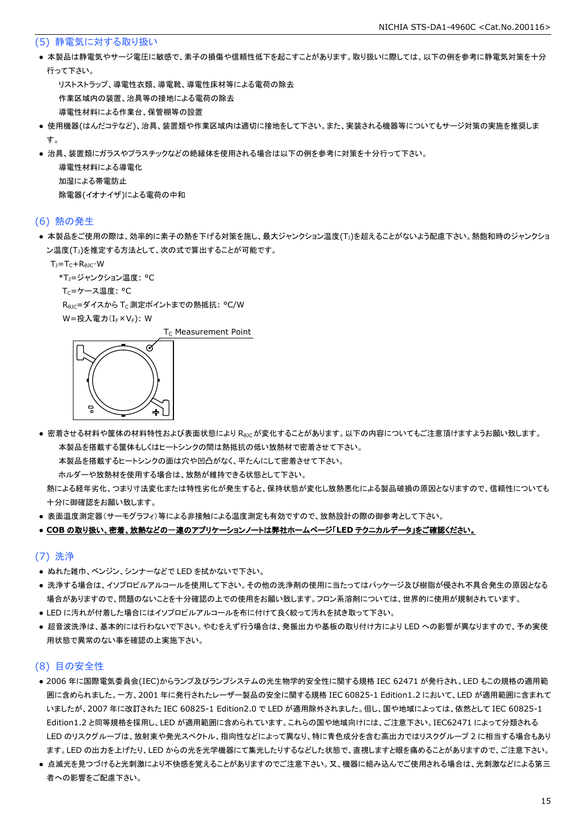#### (5) 静電気に対する取り扱い

● 本製品は静電気やサージ電圧に敏感で、素子の損傷や信頼性低下を起こすことがあります。取り扱いに際しては、以下の例を参考に静電気対策を十分 行って下さい。

 リストストラップ、導電性衣類、導電靴、導電性床材等による電荷の除去 作業区域内の装置、治具等の接地による電荷の除去 導電性材料による作業台、保管棚等の設置

- 使用機器(はんだコテなど)、治具、装置類や作業区域内は適切に接地をして下さい。また、実装される機器等についてもサージ対策の実施を推奨しま す。
- 治具、装置類にガラスやプラスチックなどの絶縁体を使用される場合は以下の例を参考に対策を十分行って下さい。

 導電性材料による導電化 加湿による帯電防止 除電器(イオナイザ)による電荷の中和

#### (6) 熱の発生

● 本製品をご使用の際は、効率的に素子の熱を下げる対策を施し、最大ジャンクション温度(T」)を超えることがないよう配慮下さい。熱飽和時のジャンクショ ン温度(T」)を推定する方法として、次の式で算出することが可能です。

 $T_1 = T_C + R_{B1C} \cdot W$ 

\*T<sub>1</sub>=ジャンクション温度: °C

Tc=ケース温度: °C

R<sub>0JC</sub>=ダイスから T<sub>C</sub> 測定ポイントまでの熱抵抗: °C/W

W=投入電力(I<sub>F</sub>×V<sub>F</sub>): W

 $T_c$  Measurement Point



● 密着させる材料や筐体の材料特性および表面状態により Reicが変化することがあります。以下の内容についてもご注意頂けますようお願い致します。 本製品を搭載する筐体もしくはヒートシンクの間は熱抵抗の低い放熱材で密着させて下さい。

本製品を搭載するヒートシンクの面は穴や凹凸がなく、平たんにして密着させて下さい。

ホルダーや放熱材を使用する場合は、放熱が維持できる状態として下さい。

 熱による経年劣化、つまり寸法変化または特性劣化が発生すると、保持状態が変化し放熱悪化による製品破損の原因となりますので、信頼性についても 十分に御確認をお願い致します。

● 表面温度測定器(サーモグラフィ)等による非接触による温度測定も有効ですので、放熱設計の際の御参考として下さい。

#### ● **COB** の取り扱い、密着、放熱などの一連のアプリケーションノートは弊社ホームページ「**LED** テクニカルデータ」をご確認ください。

#### (7) 洗浄

- ぬれた雑巾、ベンジン、シンナーなどで LED を拭かないで下さい。
- 洗浄する場合は、イソプロピルアルコールを使用して下さい。その他の洗浄剤の使用に当たってはパッケージ及び樹脂が侵され不具合発生の原因となる 場合がありますので、問題のないことを十分確認の上での使用をお願い致します。フロン系溶剤については、世界的に使用が規制されています。
- LED に汚れが付着した場合にはイソプロピルアルコールを布に付けて良く絞って汚れを拭き取って下さい。
- 超音波洗浄は、基本的には行わないで下さい。やむをえず行う場合は、発振出力や基板の取り付け方により LED への影響が異なりますので、予め実使 用状態で異常のない事を確認の上実施下さい。

### (8) 目の安全性

- 2006 年に国際電気委員会(IEC)からランプ及びランプシステムの光生物学的安全性に関する規格 IEC 62471 が発行され、LED もこの規格の適用範 囲に含められました。一方、2001 年に発行されたレーザー製品の安全に関する規格 IEC 60825-1 Edition1.2 において、LED が適用範囲に含まれて いましたが、2007 年に改訂された IEC 60825-1 Edition2.0 で LED が適用除外されました。但し、国や地域によっては、依然として IEC 60825-1 Edition1.2 と同等規格を採用し、LED が適用範囲に含められています。これらの国や地域向けには、ご注意下さい。IEC62471 によって分類される LED のリスクグループは、放射束や発光スペクトル、指向性などによって異なり、特に青色成分を含む高出力ではリスクグループ 2 に相当する場合もあり ます。LED の出力を上げたり、LED からの光を光学機器にて集光したりするなどした状態で、直視しますと眼を痛めることがありますので、ご注意下さい。
- 点滅光を見つづけると光刺激により不快感を覚えることがありますのでご注意下さい。又、機器に組み込んでご使用される場合は、光刺激などによる第三 者への影響をご配慮下さい。